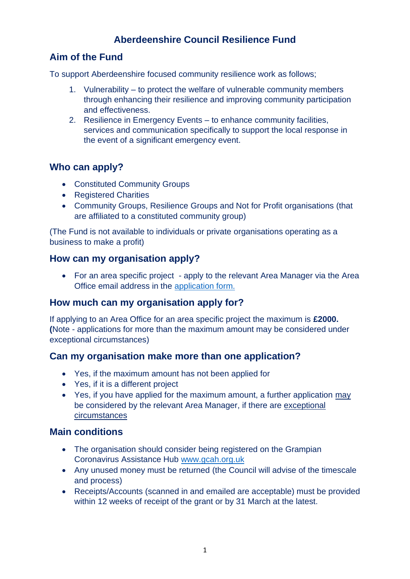# **Aberdeenshire Council Resilience Fund**

## **Aim of the Fund**

To support Aberdeenshire focused community resilience work as follows;

- 1. Vulnerability to protect the welfare of vulnerable community members through enhancing their resilience and improving community participation and effectiveness.
- 2. Resilience in Emergency Events to enhance community facilities, services and communication specifically to support the local response in the event of a significant emergency event.

### **Who can apply?**

- Constituted Community Groups
- Registered Charities
- Community Groups, Resilience Groups and Not for Profit organisations (that are affiliated to a constituted community group)

(The Fund is not available to individuals or private organisations operating as a business to make a profit)

### **How can my organisation apply?**

• For an area specific project - apply to the relevant Area Manager via the Area Office email address in the [application form.](https://www.aberdeenshire.gov.uk/communities-and-events/funding/community-resilience-covid-19/)

### **How much can my organisation apply for?**

If applying to an Area Office for an area specific project the maximum is **£2000. (**Note - applications for more than the maximum amount may be considered under exceptional circumstances)

### **Can my organisation make more than one application?**

- Yes, if the maximum amount has not been applied for
- Yes, if it is a different project
- Yes, if you have applied for the maximum amount, a further application may be considered by the relevant Area Manager, if there are exceptional circumstances

### **Main conditions**

- The organisation should consider being registered on the Grampian Coronavirus Assistance Hub [www.gcah.org.uk](http://www.gcah.org.uk/)
- Any unused money must be returned (the Council will advise of the timescale and process)
- Receipts/Accounts (scanned in and emailed are acceptable) must be provided within 12 weeks of receipt of the grant or by 31 March at the latest.